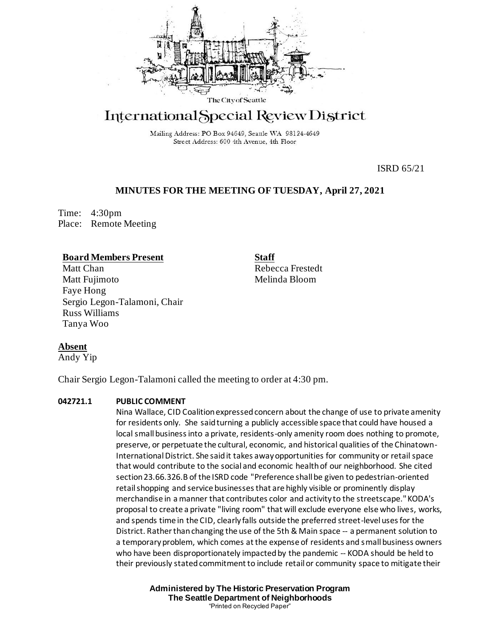

# International Special Review District

Mailing Address: PO Box 94649, Seattle WA 98124-4649 Street Address: 600 4th Avenue, 4th Floor

ISRD 65/21

## **MINUTES FOR THE MEETING OF TUESDAY, April 27, 2021**

Time: 4:30pm Place: Remote Meeting

## **Board Members Present**

Matt Chan Matt Fujimoto Faye Hong Sergio Legon-Talamoni, Chair Russ Williams Tanya Woo

**Staff** Rebecca Frestedt Melinda Bloom

## **Absent**

Andy Yip

Chair Sergio Legon-Talamoni called the meeting to order at 4:30 pm.

## **042721.1 PUBLIC COMMENT**

Nina Wallace, CID Coalition expressed concern about the change of use to private amenity for residents only. She said turning a publicly accessible space that could have housed a local small business into a private, residents-only amenity room does nothing to promote, preserve, or perpetuate the cultural, economic, and historical qualities of the Chinatown-International District. She said it takes away opportunities for community or retail space that would contribute to the social and economic health of our neighborhood. She cited section 23.66.326.B of the ISRD code "Preference shall be given to pedestrian-oriented retail shopping and service businesses that are highly visible or prominently display merchandise in a manner that contributes color and activity to the streetscape." KODA's proposal to create a private "living room" that will exclude everyone else who lives, works, and spends time in the CID, clearly falls outside the preferred street-level uses for the District. Rather than changing the use of the 5th & Main space -- a permanent solution to a temporary problem, which comes at the expense of residents and small business owners who have been disproportionately impacted by the pandemic -- KODA should be held to their previously stated commitment to include retail or community space to mitigate their

> **Administered by The Historic Preservation Program The Seattle Department of Neighborhoods** "Printed on Recycled Paper"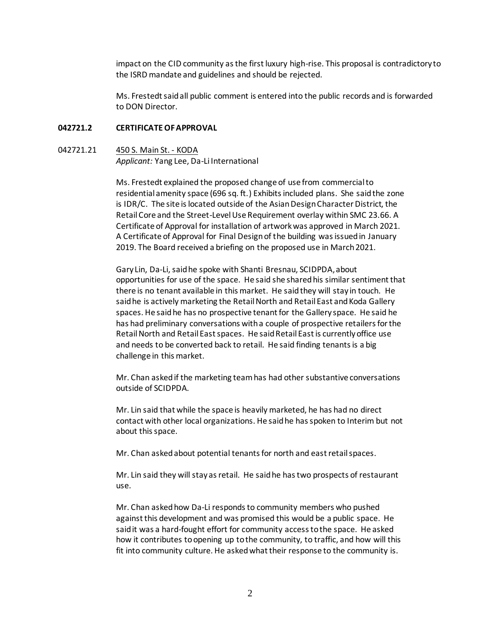impact on the CID community as the first luxury high-rise. This proposal is contradictory to the ISRD mandate and guidelines and should be rejected.

Ms. Frestedt said all public comment is entered into the public records and is forwarded to DON Director.

### **042721.2 CERTIFICATE OF APPROVAL**

## 042721.21 450 S. Main St. - KODA *Applicant:* Yang Lee, Da-Li International

Ms. Frestedt explained the proposed change of use from commercial to residential amenity space (696 sq. ft.) Exhibits included plans. She said the zone is IDR/C. The site is located outside of the Asian Design Character District, the Retail Core and the Street-Level Use Requirement overlay within SMC 23.66. A Certificate of Approval for installation of artwork was approved in March 2021. A Certificate of Approval for Final Design of the building was issued in January 2019. The Board received a briefing on the proposed use in March 2021.

Gary Lin, Da-Li,said he spoke with Shanti Bresnau, SCIDPDA,about opportunities for use of the space. He said she shared his similar sentiment that there is no tenant available in this market. He said they will stay in touch. He said he is actively marketing the Retail North and Retail East and Koda Gallery spaces. He said he has no prospective tenant for the Gallery space. He said he has had preliminary conversations with a couple of prospective retailers for the Retail North and Retail East spaces. He said Retail East is currently office use and needs to be converted back to retail. He said finding tenants is a big challenge in this market.

Mr. Chan asked if the marketing team has had other substantive conversations outside of SCIDPDA.

Mr. Lin said that while the space is heavily marketed, he has had no direct contact with other local organizations. He said he has spoken to Interim but not about this space.

Mr. Chan asked about potential tenants for north and east retail spaces.

Mr. Lin said they will stay as retail. He said he has two prospects of restaurant use.

Mr. Chan asked how Da-Li respondsto community members who pushed against this development and was promised this would be a public space. He said it was a hard-fought effort for community access to the space. He asked how it contributes to opening up to the community, to traffic, and how will this fit into community culture. He asked what their response to the community is.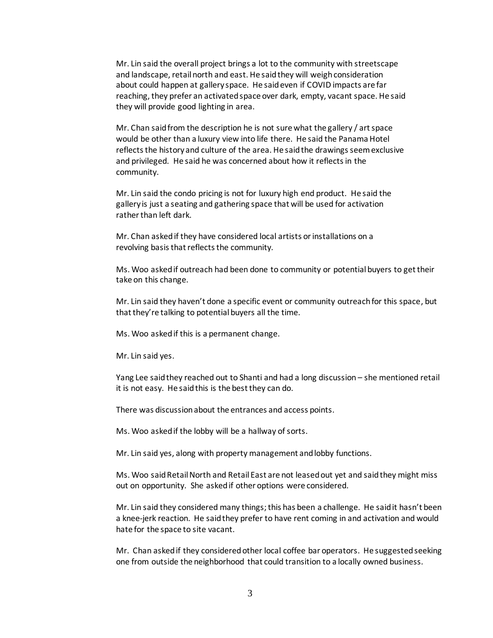Mr. Lin said the overall project brings a lot to the community with streetscape and landscape, retail north and east. He said they will weigh consideration about could happen at gallery space. He said even if COVID impacts are far reaching, they prefer an activated space over dark, empty, vacant space. He said they will provide good lighting in area.

Mr. Chan said from the description he is not sure what the gallery / art space would be other than a luxury view into life there. He said the Panama Hotel reflects the history and culture of the area. He said the drawings seem exclusive and privileged. He said he was concerned about how it reflects in the community.

Mr. Lin said the condo pricing is not for luxury high end product. He said the gallery is just a seating and gathering space that will be used for activation rather than left dark.

Mr. Chan asked if they have considered local artists or installations on a revolving basis that reflects the community.

Ms. Woo asked if outreach had been done to community or potential buyers to get their take on this change.

Mr. Lin said they haven't done a specific event or community outreach for this space, but that they're talking to potential buyers all the time.

Ms. Woo askedif this is a permanent change.

Mr. Lin said yes.

Yang Lee said they reached out to Shanti and had a long discussion – she mentioned retail it is not easy. He said this is the best they can do.

There was discussion about the entrances and access points.

Ms. Woo asked if the lobby will be a hallway of sorts.

Mr. Lin said yes, along with property management and lobby functions.

Ms. Woo said Retail North and Retail East are not leased out yet and said they might miss out on opportunity. She asked if other options were considered.

Mr. Lin said they considered many things; this has been a challenge. He said it hasn't been a knee-jerk reaction. He said they prefer to have rent coming in and activation and would hate for the space to site vacant.

Mr. Chan asked if they considered other local coffee bar operators. He suggested seeking one from outside the neighborhood that could transition to a locally owned business.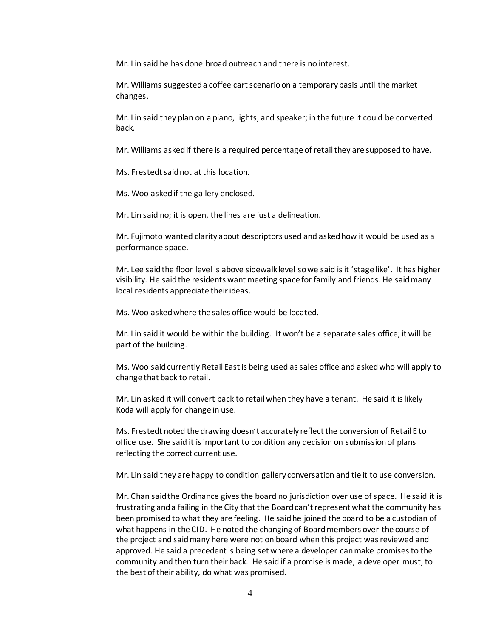Mr. Lin said he has done broad outreach and there is no interest.

Mr. Williams suggested a coffee cart scenario on a temporary basis until the market changes.

Mr. Lin said they plan on a piano, lights, and speaker; in the future it could be converted back.

Mr. Williams asked if there is a required percentage of retail they are supposed to have.

Ms. Frestedt said not at this location.

Ms. Woo asked if the gallery enclosed.

Mr. Lin said no; it is open, the lines are just a delineation.

Mr. Fujimoto wanted clarity about descriptors used and asked how it would be used as a performance space.

Mr. Lee said the floor level is above sidewalk level so we said is it 'stage like'. It has higher visibility. He said the residents want meeting space for family and friends. He said many local residents appreciate their ideas.

Ms. Woo asked where the sales office would be located.

Mr. Lin said it would be within the building. It won't be a separate sales office; it will be part of the building.

Ms. Woo said currently Retail East is being used as sales office and asked who will apply to change that back to retail.

Mr. Lin asked it will convert back to retail when they have a tenant. He said it is likely Koda will apply for change in use.

Ms. Frestedt noted the drawing doesn't accurately reflect the conversion of Retail E to office use. She said it is important to condition any decision on submission of plans reflecting the correct current use.

Mr. Lin said they are happy to condition gallery conversation and tie it to use conversion.

Mr. Chan said the Ordinance gives the board no jurisdiction over use of space. He said it is frustrating and a failing in the City that the Board can't represent what the community has been promised to what they are feeling. He said he joined the board to be a custodian of what happens in the CID. He noted the changing of Board members over the course of the project and said many here were not on board when this project was reviewed and approved. He said a precedent is being set where a developer can make promises to the community and then turn their back. He said if a promise is made, a developer must, to the best of their ability, do what was promised.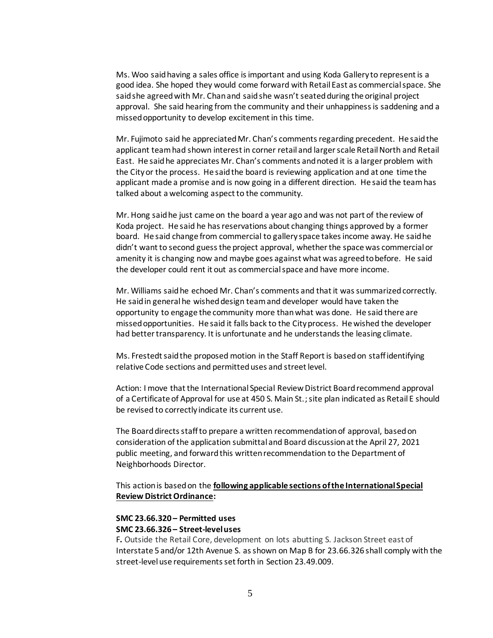Ms. Woo said having a sales office is important and using Koda Gallery to represent is a good idea. She hoped they would come forward with Retail East as commercial space. She said she agreed with Mr. Chan and said she wasn't seated during the original project approval. She said hearing from the community and their unhappiness is saddening and a missed opportunity to develop excitement in this time.

Mr. Fujimoto said he appreciated Mr. Chan's comments regarding precedent. He said the applicant team had shown interest in corner retail and larger scale Retail North and Retail East. He said he appreciates Mr. Chan's comments and noted it is a larger problem with the City or the process. He said the board is reviewing application and at one time the applicant made a promise and is now going in a different direction. He said the team has talked about a welcoming aspect to the community.

Mr. Hong said he just came on the board a year ago and was not part of the review of Koda project. He said he has reservations about changing things approved by a former board. He said change from commercial to gallery space takes income away. He said he didn't want to second guess the project approval, whether the space was commercial or amenity it is changing now and maybe goes against what was agreed to before. He said the developer could rent it out as commercial space and have more income.

Mr. Williams said he echoed Mr. Chan's comments and that it was summarized correctly. He said in general he wished design team and developer would have taken the opportunity to engage the community more than what was done. He said there are missed opportunities. He said it falls back to the City process. He wished the developer had better transparency. It is unfortunate and he understands the leasing climate.

Ms. Frestedt said the proposed motion in the Staff Report is based on staff identifying relative Code sections and permitted uses and street level.

Action: I move that the International Special Review District Board recommend approval of a Certificate of Approval for use at 450 S. Main St.; site plan indicated as Retail E should be revised to correctly indicate its current use.

The Board directs staff to prepare a written recommendation of approval, based on consideration of the application submittal and Board discussion at the April 27, 2021 public meeting, and forward this written recommendation to the Department of Neighborhoods Director.

This action is based on the **following applicable sections of the International Special Review District Ordinance:** 

## **SMC 23.66.320 – Permitted uses**

#### **SMC 23.66.326 – Street-level uses**

F**.** Outside the Retail Core, development on lots abutting S. Jackson Street east of Interstate 5 and/or 12th Avenue S. as shown on Map B for [23.66.326](https://library.municode.com/wa/seattle/codes/municipal_code?nodeId=TIT23LAUSCO_SUBTITLE_IIILAUSRE_CH23.66SPREDI_SUBCHAPTER_IIIINSPREDI_23.66.326STVEUS) shall comply with the street-level use requirements set forth in Section [23.49.009.](https://library.municode.com/wa/seattle/codes/municipal_code?nodeId=TIT23LAUSCO_SUBTITLE_IIILAUSRE_CH23.49DOZO_SUBCHAPTER_IGEPR_23.49.009STVEUSRE)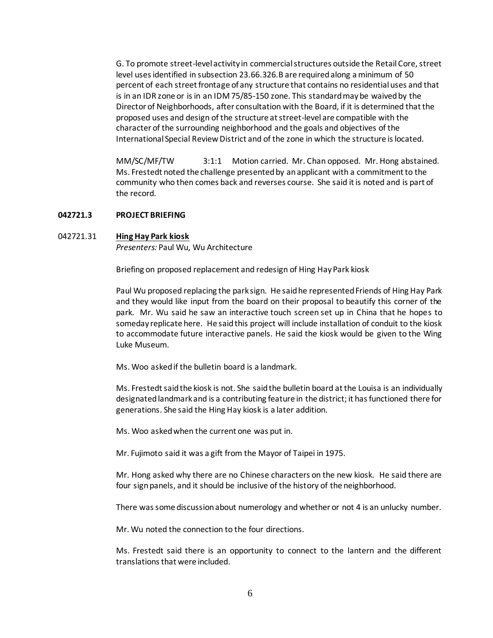G. To promote street-level activity in commercial structures outside the Retail Core, street level uses identified in subsection 23.66.326.B are required along a minimum of 50 percent of each street frontage of any structure that contains no residential uses and that is in an IDR zone or is in an IDM 75/85-150 zone. This standard may be waived by the Director of Neighborhoods, after consultation with the Board, if it is determined that the proposed uses and design of the structure at street-level are compatible with the character of the surrounding neighborhood and the goals and objectives of the International Special Review District and of the zone in which the structure is located.

MM/SC/MF/TW 3:1:1 Motion carried. Mr. Chan opposed. Mr. Hong abstained. Ms. Frestedt noted the challenge presented by an applicant with a commitment to the community who then comes back and reverses course. She said it is noted and is part of the record.

#### **042721.3 PROJECT BRIEFING**

#### 042721.31 **Hing Hay Park kiosk**

*Presenters:* Paul Wu, Wu Architecture

Briefing on proposed replacement and redesign of Hing Hay Park kiosk

Paul Wu proposed replacing the park sign. He said he represented Friends of Hing Hay Park and they would like input from the board on their proposal to beautify this corner of the park. Mr. Wu said he saw an interactive touch screen set up in China that he hopes to someday replicate here. He said this project will include installation of conduit to the kiosk to accommodate future interactive panels. He said the kiosk would be given to the Wing Luke Museum.

Ms. Woo asked if the bulletin board is a landmark.

Ms. Frestedt said the kiosk is not. She said the bulletin board at the Louisa is an individually designated landmark and is a contributing feature in the district; it has functioned there for generations. She said the Hing Hay kiosk is a later addition.

Ms. Woo asked when the current one was put in.

Mr. Fujimoto said it was a gift from the Mayor of Taipei in 1975.

Mr. Hong asked why there are no Chinese characters on the new kiosk. He said there are four sign panels, and it should be inclusive of the history of the neighborhood.

There was some discussion about numerology and whether or not 4 is an unlucky number.

Mr. Wu noted the connection to the four directions.

Ms. Frestedt said there is an opportunity to connect to the lantern and the different translations that were included.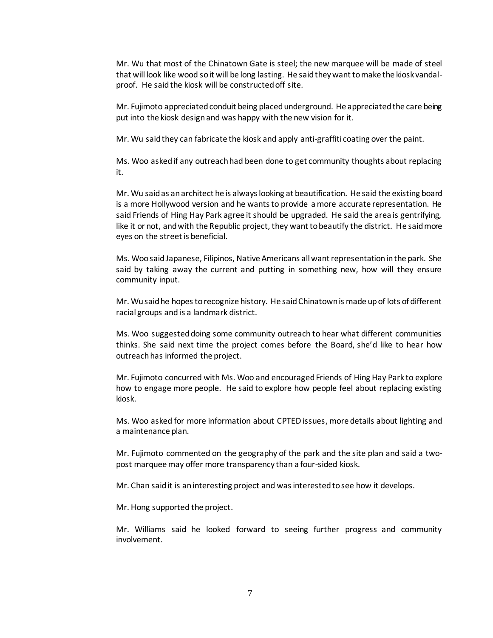Mr. Wu that most of the Chinatown Gate is steel; the new marquee will be made of steel that will look like wood so it will be long lasting. He said they want to make the kiosk vandalproof. He said the kiosk will be constructed off site.

Mr. Fujimoto appreciated conduit being placed underground. He appreciated the care being put into the kiosk design and was happy with the new vision for it.

Mr. Wu said they can fabricate the kiosk and apply anti-graffiti coating over the paint.

Ms. Woo asked if any outreach had been done to get community thoughts about replacing it.

Mr. Wu said as an architect he is always looking at beautification. He said the existing board is a more Hollywood version and he wants to provide a more accurate representation. He said Friends of Hing Hay Park agree it should be upgraded. He said the area is gentrifying, like it or not, and with the Republic project, they want to beautify the district. He said more eyes on the street is beneficial.

Ms. Woo said Japanese, Filipinos, Native Americans all want representation in the park. She said by taking away the current and putting in something new, how will they ensure community input.

Mr. Wu said he hopes to recognize history. He said Chinatown is made up of lots of different racial groups and is a landmark district.

Ms. Woo suggested doing some community outreach to hear what different communities thinks. She said next time the project comes before the Board, she'd like to hear how outreach has informed the project.

Mr. Fujimoto concurred with Ms. Woo and encouraged Friends of Hing Hay Park to explore how to engage more people. He said to explore how people feel about replacing existing kiosk.

Ms. Woo asked for more information about CPTED issues, more details about lighting and a maintenance plan.

Mr. Fujimoto commented on the geography of the park and the site plan and said a twopost marquee may offer more transparency than a four-sided kiosk.

Mr. Chan said it is an interesting project and was interested to see how it develops.

Mr. Hong supported the project.

Mr. Williams said he looked forward to seeing further progress and community involvement.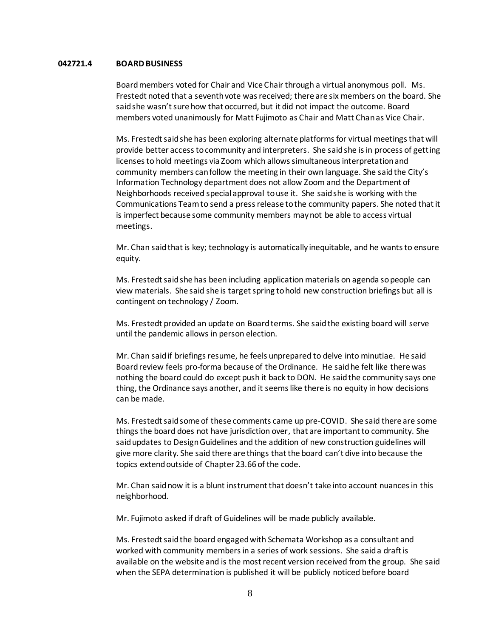#### **042721.4 BOARD BUSINESS**

Board members voted for Chair and Vice Chair through a virtual anonymous poll. Ms. Frestedt noted that a seventh vote was received; there are six members on the board. She said she wasn't sure how that occurred, but it did not impact the outcome. Board members voted unanimously for Matt Fujimoto as Chair and Matt Chan as Vice Chair.

Ms. Frestedt said she has been exploring alternate platforms for virtual meetings that will provide better access to community and interpreters. She said she is in process of getting licenses to hold meetings via Zoom which allows simultaneous interpretation and community members can follow the meeting in their own language. She said the City's Information Technology department does not allow Zoom and the Department of Neighborhoods received special approval to use it. She said she is working with the Communications Team to send a press release to the community papers. She noted that it is imperfect because some community members may not be able to access virtual meetings.

Mr. Chan said that is key; technology is automatically inequitable, and he wants to ensure equity.

Ms. Frestedt said she has been including application materials on agenda so people can view materials. She said she is target spring to hold new construction briefings but all is contingent on technology / Zoom.

Ms. Frestedt provided an update on Board terms. She said the existing board will serve until the pandemic allows in person election.

Mr. Chan said if briefings resume, he feels unprepared to delve into minutiae. He said Board review feels pro-forma because of the Ordinance. He said he felt like there was nothing the board could do except push it back to DON. He said the community says one thing, the Ordinance says another, and it seems like there is no equity in how decisions can be made.

Ms. Frestedt said some of these comments came up pre-COVID. She said there are some things the board does not have jurisdiction over, that are important to community. She said updates to Design Guidelines and the addition of new construction guidelines will give more clarity. She said there are things that the board can't dive into because the topics extend outside of Chapter 23.66 of the code.

Mr. Chan said now it is a blunt instrument that doesn't take into account nuances in this neighborhood.

Mr. Fujimoto asked if draft of Guidelines will be made publicly available.

Ms. Frestedt said the board engaged with Schemata Workshop as a consultant and worked with community members in a series of work sessions. She said a draft is available on the website and is the most recent version received from the group. She said when the SEPA determination is published it will be publicly noticed before board